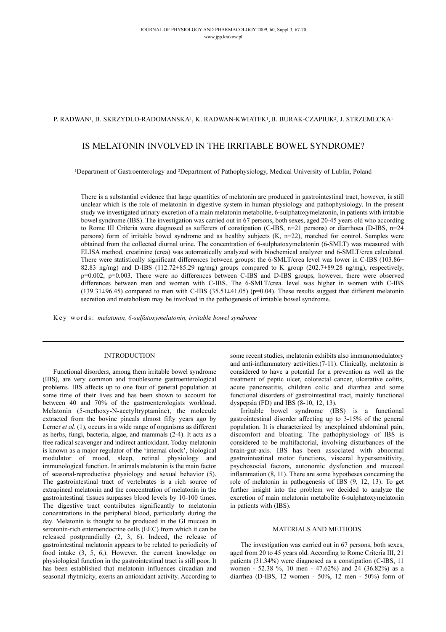## P. RADWAN<sup>1</sup>, B. SKRZYDLO-RADOMANSKA<sup>1</sup>, K. RADWAN-KWIATEK<sup>1</sup>, B. BURAK-CZAPIUK<sup>2</sup>, J. STRZEMECKA<sup>1</sup>

# IS MELATONIN INVOLVED IN THE IRRITABLE BOWEL SYNDROME?

1Department of Gastroenterology and 2Department of Pathophysiology, Medical University of Lublin, Poland

There is a substantial evidence that large quantities of melatonin are produced in gastrointestinal tract, however, is still unclear which is the role of melatonin in digestive system in human physiology and pathophysiology. In the present study we investigated urinary excretion of a main melatonin metabolite, 6-sulphatoxymelatonin, in patients with irritable bowel syndrome (IBS). The investigation was carried out in 67 persons, both sexes, aged 20-45 years old who according to Rome III Criteria were diagnosed as sufferers of constipation (C-IBS, n=21 persons) or diarrhoea (D-IBS, n=24 persons) form of irritable bowel syndrome and as healthy subjects (K, n=22), matched for control. Samples were obtained from the collected diurnal urine. The concentration of 6-sulphatoxymelatonin (6-SMLT) was measured with ELISA method, creatinine (crea) was automatically analyzed with biochemical analyzer and 6-SMLT/crea calculated. There were statistically significant differences between groups: the 6-SMLT/crea level was lower in C-IBS (103.86 $\pm$ 82.83 ng/mg) and D-IBS (112.72±85.29 ng/mg) groups compared to K group (202.7±89.28 ng/mg), respectively, p=0.002, p=0.003. There were no differences between C-IBS and D-IBS groups, however, there were observed differences between men and women with C-IBS. The 6-SMLT/crea. level was higher in women with C-IBS  $(139.31\pm96.45)$  compared to men with C-IBS  $(35.51\pm41.05)$  (p=0.04). These results suggest that different melatonin secretion and metabolism may be involved in the pathogenesis of irritable bowel syndrome.

Key words: *melatonin, 6-sulfatoxymelatonin, irritable bowel syndrome*

#### INTRODUCTION

Functional disorders, among them irritable bowel syndrome (IBS), are very common and troublesome gastroenterological problems. IBS affects up to one four of general population at some time of their lives and has been shown to account for between 40 and 70% of the gastroenterologists workload. Melatonin (5-methoxy-N-acetyltryptamine), the molecule extracted from the bovine pineals almost fifty years ago by Lerner *et al*. (1), occurs in a wide range of organisms as different as herbs, fungi, bacteria, algae, and mammals (2-4). It acts as a free radical scavenger and indirect antioxidant. Today melatonin is known as a major regulator of the 'internal clock', biological modulator of mood, sleep, retinal physiology and immunological function. In animals melatonin is the main factor of seasonal-reproductive physiology and sexual behavior (5). The gastrointestinal tract of vertebrates is a rich source of extrapineal melatonin and the concentration of melatonin in the gastrointestinal tissues surpasses blood levels by 10-100 times. The digestive tract contributes significantly to melatonin concentrations in the peripheral blood, particularly during the day. Melatonin is thought to be produced in the GI mucosa in serotonin-rich enteroendocrine cells (EEC) from which it can be released postprandially (2, 3, 6). Indeed, the release of gastrointestinal melatonin appears to be related to periodicity of food intake (3, 5, 6,). However, the current knowledge on physiological function in the gastrointestinal tract is still poor. It has been established that melatonin influences circadian and seasonal rhytmicity, exerts an antioxidant activity. According to

some recent studies, melatonin exhibits also immunomodulatory and anti-inflammatory activities.(7-11). Clinically, melatonin is considered to have a potential for a prevention as well as the treatment of peptic ulcer, colorectal cancer, ulcerative colitis, acute pancreatitis, children colic and diarrhea and some functional disorders of gastrointestinal tract, mainly functional dyspepsia (FD) and IBS (8-10, 12, 13).

Irritable bowel syndrome (IBS) is a functional gastrointestinal disorder affecting up to 3-15% of the general population. It is characterized by unexplained abdominal pain, discomfort and bloating. The pathophysiology of IBS is considered to be multifactorial, involving disturbances of the brain-gut-axis. IBS has been associated with abnormal gastrointestinal motor functions, visceral hypersensitivity, psychosocial factors, autonomic dysfunction and mucosal inflammation (8, 11). There are some hypotheses concerning the role of melatonin in pathogenesis of IBS (9, 12, 13). To get further insight into the problem we decided to analyze the excretion of main melatonin metabolite 6-sulphatoxymelatonin in patients with (IBS).

### MATERIALS AND METHODS

The investigation was carried out in 67 persons, both sexes, aged from 20 to 45 years old. According to Rome Criteria III, 21 patients (31.34%) were diagnosed as a constipation (C-IBS, 11 women - 52.38 %, 10 men - 47.62%) and 24 (36.82%) as a diarrhea (D-IBS, 12 women - 50%, 12 men - 50%) form of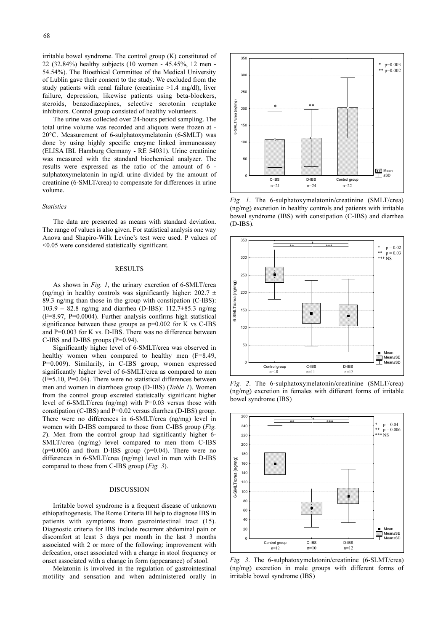irritable bowel syndrome. The control group (K) constituted of 22 (32.84%) healthy subjects (10 women - 45.45%, 12 men - 54.54%). The Bioethical Committee of the Medical University of Lublin gave their consent to the study. We excluded from the study patients with renal failure (creatinine >1.4 mg/dl), liver failure, depression, likewise patients using beta-blockers, steroids, benzodiazepines, selective serotonin reuptake inhibitors. Control group consisted of healthy volunteers.

The urine was collected over 24-hours period sampling. The total urine volume was recorded and aliquots were frozen at - 20°C. Measurement of 6-sulphatoxymelatonin (6-SMLT) was done by using highly specific enzyme linked immunoassay (ELISA IBL Hamburg Germany - RE 54031). Urine creatinine was measured with the standard biochemical analyzer. The results were expressed as the ratio of the amount of 6 sulphatoxymelatonin in ng/dl urine divided by the amount of creatinine (6-SMLT/crea) to compensate for differences in urine volume.

#### *Statistics*

The data are presented as means with standard deviation. The range of values is also given. For statistical analysis one way Anova and Shapiro-Wilk Levine's test were used. P values of <0.05 were considered statistically significant.

#### RESULTS

As shown in *Fig. 1*, the urinary excretion of 6-SMLT/crea (ng/mg) in healthy controls was significantly higher:  $202.7 \pm$ 89.3 ng/mg than those in the group with constipation (C-IBS): 103.9 ± 82.8 ng/mg and diarrhea (D-IBS): 112.7±85.3 ng/mg (F=8.97, P=0.0004). Further analysis confirms high statistical significance between these groups as  $p=0.002$  for K vs C-IBS and P=0.003 for K vs. D-IBS. There was no difference between C-IBS and D-IBS groups (P=0.94).

Significantly higher level of 6-SMLT/crea was observed in healthy women when compared to healthy men (F=8.49, P=0.009). Similarily, in C-IBS group, women expressed significantly higher level of 6-SMLT/crea as compared to men  $(F=5.10, P=0.04)$ . There were no statistical differences between men and women in diarrhoea group (D-IBS) (*Table 1*). Women from the control group excreted statistcally significant higher level of 6-SMLT/crea (ng/mg) with P=0.03 versus those with constipation (C-IBS) and P=0.02 versus diarrhea (D-IBS) group. There were no differences in 6-SMLT/crea (ng/mg) level in women with D-IBS compared to those from C-IBS group (*Fig. 2*). Men from the control group had significantly higher 6- SMLT/crea (ng/mg) level compared to men from C-IBS  $(p=0.006)$  and from D-IBS group  $(p=0.04)$ . There were no differences in 6-SMLT/crea (ng/mg) level in men with D-IBS compared to those from C-IBS group (*Fig. 3*).

#### DISCUSSION

Irritable bowel syndrome is a frequent disease of unknown ethiopathogenesis. The Rome Criteria III help to diagnose IBS in patients with symptoms from gastrointestinal tract (15). Diagnostic criteria for IBS include recurrent abdominal pain or discomfort at least 3 days per month in the last 3 months associated with 2 or more of the following: improvement with defecation, onset associated with a change in stool frequency or onset associated with a change in form (appearance) of stool.

Melatonin is involved in the regulation of gastrointestinal motility and sensation and when administered orally in



*Fig. 1*. The 6-sulphatoxymelatonin/creatinine (SMLT/crea) (ng/mg) excretion in healthy controls and patients with irritable bowel syndrome (IBS) with constipation (C-IBS) and diarrhea (D-IBS).



*Fig. 2*. The 6-sulphatoxymelatonin/creatinine (SMLT/crea) (ng/mg) excretion in females with different forms of irritable bowel syndrome (IBS)



*Fig. 3*. The 6-sulphatoxymelatonin/creatinine (6-SLMT/crea) (ng/mg) excretion in male groups with different forms of irritable bowel syndrome (IBS)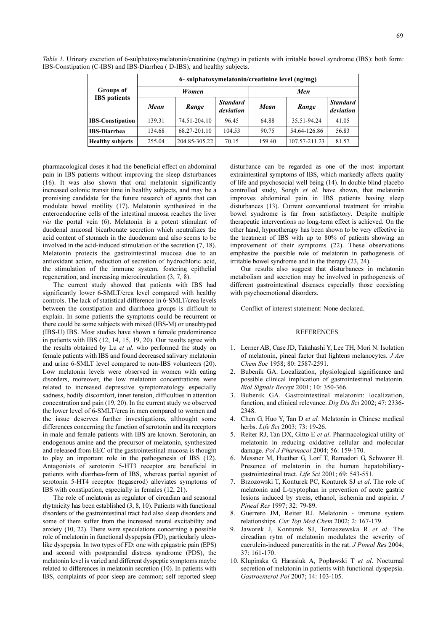| ۰.<br>۰,<br>٦<br>۰.<br>٠<br>۰, |
|--------------------------------|
|--------------------------------|

|                         | 6- sulphatoxymelatonin/creatinine level (ng/mg) |               |                              |        |               |                              |
|-------------------------|-------------------------------------------------|---------------|------------------------------|--------|---------------|------------------------------|
| <b>Groups</b> of        | Women                                           |               |                              | Men    |               |                              |
| <b>IBS</b> patients     | Mean                                            | Range         | <b>Standard</b><br>deviation | Mean   | Range         | <b>Standard</b><br>deviation |
| <b>IBS-Constipation</b> | 139.31                                          | 74.51-204.10  | 96.45                        | 64.88  | 35.51-94.24   | 41.05                        |
| <b>IBS-Diarrhea</b>     | 134.68                                          | 68.27-201.10  | 104.53                       | 90.75  | 54.64-126.86  | 56.83                        |
| <b>Healthy subjects</b> | 255.04                                          | 204.85-305.22 | 70.15                        | 159.40 | 107.57-211.23 | 81.57                        |

*Table 1*. Urinary excretion of 6-sulphatoxymelatonin/creatinine (ng/mg) in patients with irritable bowel syndrome (IBS): both form: IBS-Constipation (C-IBS) and IBS-Diarrhea ( D-IBS), and healthy subjects.

pharmacological doses it had the beneficial effect on abdominal pain in IBS patients without improving the sleep disturbances (16). It was also shown that oral melatonin significantly increased colonic transit time in healthy subjects, and may be a promising candidate for the future research of agents that can modulate bowel motility (17). Melatonin synthesized in the enteroendocrine cells of the intestinal mucosa reaches the liver *via* the portal vein (6). Melatonin is a potent stimulant of duodenal mucosal bicarbonate secretion which neutralizes the acid content of stomach in the duodenum and also seems to be involved in the acid-induced stimulation of the secretion (7, 18). Melatonin protects the gastrointestinal mucosa due to an antioxidant action, reduction of secretion of hydrochloric acid, the stimulation of the immune system, fostering epithelial regeneration, and increasing microcirculation (3, 7, 8).

The current study showed that patients with IBS had significantly lower 6-SMLT/crea level compared with healthy controls. The lack of statistical difference in 6-SMLT/crea levels between the constipation and diarrhoea groups is difficult to explain. In some patients the symptoms could be recurrent or there could be some subjects with mixed (IBS-M) or unsubtyped (IBS-U) IBS. Most studies have shown a female predominance in patients with IBS (12, 14, 15, 19, 20). Our results agree with the results obtained by Lu *et al.* who performed the study on female patients with IBS and found decreased salivary melatonin and urine 6-SMLT level compared to non-IBS volunteers (20). Low melatonin levels were observed in women with eating disorders, moreover, the low melatonin concentrations were related to increased depressive symptomatology especially sadness, bodily discomfort, inner tension, difficulties in attention concentration and pain (19, 20). In the current study we observed the lower level of 6-SMLT/crea in men compared to women and the issue deserves further investigations, althought some differences concerning the function of serotonin and its receptors in male and female patients with IBS are known. Serotonin, an endogenous amine and the precursor of melatonin, synthesized and released from EEC of the gastrointestinal mucosa is thought to play an important role in the pathogenesis of IBS (12). Antagonists of serotonin 5-HT3 receptor are beneficial in patients with diarrhea-form of IBS, whereas partial agonist of serotonin 5-HT4 receptor (tegaserod) alleviates symptoms of IBS with constipation, especially in females (12, 21).

The role of melatonin as regulator of circadian and seasonal rhytmicity has been established (3, 8, 10). Patients with functional disorders of the gastrointestinal tract had also sleep disorders and some of them suffer from the increased neural excitability and anxiety (10, 22). There were speculations concerning a possible role of melatonin in functional dyspepsia (FD), particularly ulcerlike dyspepsia. In two types of FD: one with epigastric pain (EPS) and second with postprandial distress syndrome (PDS), the melatonin level is varied and different dyspeptic symptoms maybe related to differences in melatonin secretion (10). In patients with IBS, complaints of poor sleep are common; self reported sleep disturbance can be regarded as one of the most important extraintestinal symptoms of IBS, which markedly affects quality of life and psychosocial well being (14). In double blind placebo controlled study, Songh *et al*. have shown, that melatonin improves abdominal pain in IBS patients having sleep disturbances (13). Current conventional treatment for irritable bowel syndrome is far from satisfactory. Despite multiple therapeutic interventions no long-term effect is achieved. On the other hand, hypnotherapy has been shown to be very effective in the treatment of IBS with up to 80% of patients showing an improvement of their symptoms (22). These observations emphasize the possible role of melatonin in pathogenesis of irritable bowel syndrome and in the therapy (23, 24).

Our results also suggest that disturbances in melatonin metabolism and secretion may be involved in pathogenesis of different gastrointestinal diseases especially those coexisting with psychoemotional disorders.

Conflict of interest statement: None declared.

## **REFERENCES**

- 1. Lerner AB, Case JD, Takahashi Y, Lee TH, Mori N. Isolation of melatonin, pineal factor that lightens melanocytes. *J Am Chem Soc* 1958; 80: 2587-2591.
- 2. Bubenik GA. Localization, physiological significance and possible clinical implication of gastrointestinal melatonin. *Biol Signals Recept* 2001; 10: 350-366.
- 3. Bubenik GA. Gastrointestinal melatonin: localization, function, and clinical relevance. *Dig Dis Sci* 2002; 47: 2336- 2348.
- 4. Chen G, Huo Y, Tan D *et al.* Melatonin in Chinese medical herbs. *Life Sci* 2003; 73: 19-26.
- 5. Reiter RJ, Tan DX, Gitto E *et al*. Pharmacological utility of melatonin in reducing oxidative cellular and molecular damage. *Pol J Pharmacol* 2004; 56: 159-170.
- 6. Messner M, Huether G, Lorf T, Ramadori G, Schworer H. Presence of melatonin in the human hepatobiliarygastrointestinal tract. *Life Sci* 2001; 69: 543-551.
- 7. Brzozowski T, Konturek PC, Konturek SJ *et al*. The role of melatonin and L-tryptophan in prevention of acute gastric lesions induced by stress, ethanol, ischemia and aspirin. *J Pineal Res* 1997; 32: 79-89.
- 8. Guerrero JM, Reiter RJ. Melatonin immune system relationships. *Cur Top Med Chem* 2002; 2: 167-179.
- 9. Jaworek J, Konturek SJ, Tomaszewska R *et al*. The circadian rytm of melatonin modulates the severity of caerulein-induced pancreatitis in the rat. *J Pineal Res* 2004; 37: 161-170.
- 10. Klupinska G, Harasiuk A, Poplawski T *et al*. Nocturnal secretion of melatonin in patients with functional dyspepsia. *Gastroenterol Pol* 2007; 14: 103-105.